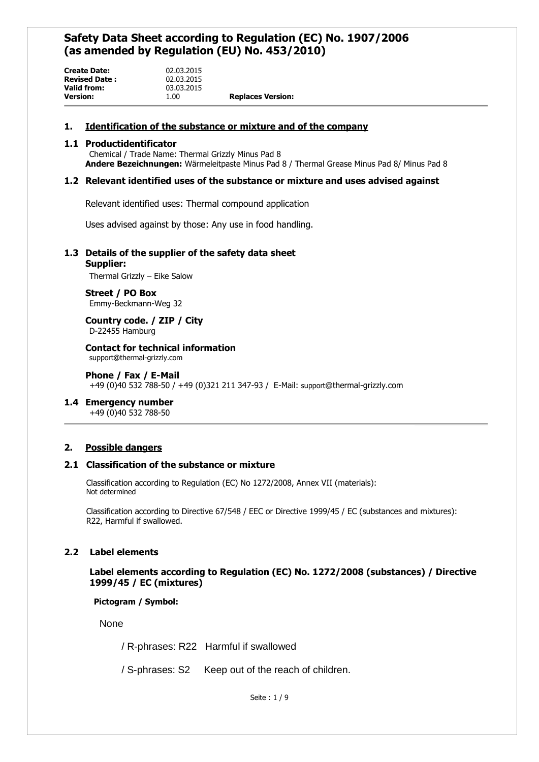| <b>Create Date:</b>  | 02.03.2015 |                          |
|----------------------|------------|--------------------------|
| <b>Revised Date:</b> | 02.03.2015 |                          |
| Valid from:          | 03.03.2015 |                          |
| <b>Version:</b>      | 1.00       | <b>Replaces Version:</b> |

#### **1. Identification of the substance or mixture and of the company**

#### **1.1 Productidentificator**

Chemical / Trade Name: Thermal Grizzly Minus Pad 8 **Andere Bezeichnungen:** Wärmeleitpaste Minus Pad 8 / Thermal Grease Minus Pad 8/ Minus Pad 8

### **1.2 Relevant identified uses of the substance or mixture and uses advised against**

Relevant identified uses: Thermal compound application

Uses advised against by those: Any use in food handling.

### **1.3 Details of the supplier of the safety data sheet**

#### **Supplier:**

Thermal Grizzly – Eike Salow

**Street / PO Box** Emmy-Beckmann-Weg 32

**Country code. / ZIP / City** D-22455 Hamburg

**Contact for technical information** support@thermal-grizzly.com

#### **Phone / Fax / E-Mail** +49 (0)40 532 788-50 / +49 (0)321 211 347-93 / E-Mail: support@thermal-grizzly.com

#### **1.4 Emergency number**

+49 (0)40 532 788-50

## **2. Possible dangers**

#### **2.1 Classification of the substance or mixture**

Classification according to Regulation (EC) No 1272/2008, Annex VII (materials): Not determined

Classification according to Directive 67/548 / EEC or Directive 1999/45 / EC (substances and mixtures): R22, Harmful if swallowed.

## **2.2 Label elements**

**Label elements according to Regulation (EC) No. 1272/2008 (substances) / Directive 1999/45 / EC (mixtures)**

### **Pictogram / Symbol:**

None

/ R-phrases: R22 Harmful if swallowed

/ S-phrases: S2 Keep out of the reach of children.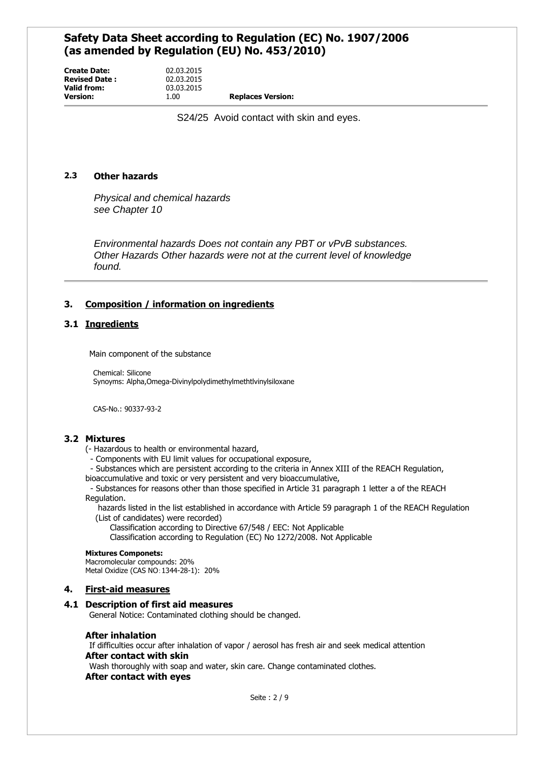**Create Date:** 02.03.2015 **Revised Date :** 02.03.2015 **Valid from:** 03.03.2015<br> **Version:** 1.00

**Version:** 1.00 **Replaces Version:**

S24/25 Avoid contact with skin and eyes.

## **2.3 Other hazards**

*Physical and chemical hazards see Chapter 10*

*Environmental hazards Does not contain any PBT or vPvB substances. Other Hazards Other hazards were not at the current level of knowledge found.*

## **3. Composition / information on ingredients**

## **3.1 Ingredients**

Main component of the substance

Chemical: Silicone Synoyms: Alpha,Omega-Divinylpolydimethylmethtlvinylsiloxane

CAS-No.: 90337-93-2

## **3.2 Mixtures**

- (- Hazardous to health or environmental hazard,
	- Components with EU limit values for occupational exposure,
	- Substances which are persistent according to the criteria in Annex XIII of the REACH Regulation,
- bioaccumulative and toxic or very persistent and very bioaccumulative,

- Substances for reasons other than those specified in Article 31 paragraph 1 letter a of the REACH Regulation.

 hazards listed in the list established in accordance with Article 59 paragraph 1 of the REACH Regulation (List of candidates) were recorded)

- Classification according to Directive 67/548 / EEC: Not Applicable
- Classification according to Regulation (EC) No 1272/2008. Not Applicable

#### **Mixtures Componets:**

Macromolecular compounds: 20% Metal Oxidize (CAS NO:1344-28-1): 20%

## **4. First-aid measures**

#### **4.1 Description of first aid measures**

General Notice: Contaminated clothing should be changed.

#### **After inhalation**

If difficulties occur after inhalation of vapor / aerosol has fresh air and seek medical attention **After contact with skin** Wash thoroughly with soap and water, skin care. Change contaminated clothes.

**After contact with eyes**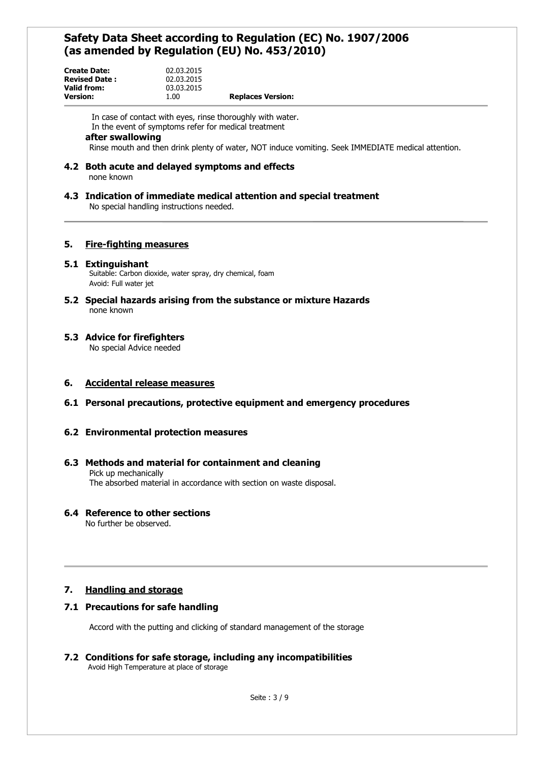| <b>Create Date:</b>  | 02.03.2015 |                          |
|----------------------|------------|--------------------------|
| <b>Revised Date:</b> | 02.03.2015 |                          |
| Valid from:          | 03.03.2015 |                          |
| <b>Version:</b>      | 1.00       | <b>Replaces Version:</b> |

In case of contact with eyes, rinse thoroughly with water. In the event of symptoms refer for medical treatment

### **after swallowing**

Rinse mouth and then drink plenty of water, NOT induce vomiting. Seek IMMEDIATE medical attention.

**4.2 Both acute and delayed symptoms and effects** none known

# **4.3 Indication of immediate medical attention and special treatment**

No special handling instructions needed.

## **5. Fire-fighting measures**

#### **5.1 Extinguishant**

Suitable: Carbon dioxide, water spray, dry chemical, foam Avoid: Full water jet

**5.2 Special hazards arising from the substance or mixture Hazards** none known

### **5.3 Advice for firefighters**

No special Advice needed

#### **6. Accidental release measures**

**6.1 Personal precautions, protective equipment and emergency procedures**

## **6.2 Environmental protection measures**

#### **6.3 Methods and material for containment and cleaning** Pick up mechanically The absorbed material in accordance with section on waste disposal.

## **6.4 Reference to other sections**

No further be observed.

## **7. Handling and storage**

## **7.1 Precautions for safe handling**

Accord with the putting and clicking of standard management of the storage

### **7.2 Conditions for safe storage, including any incompatibilities** Avoid High Temperature at place of storage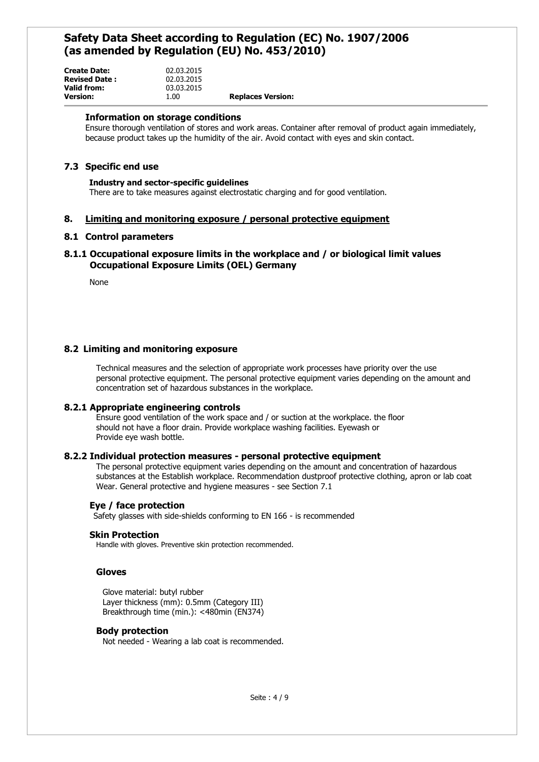| <b>Create Date:</b><br><b>Revised Date:</b> | 02.03.2015<br>02.03.2015 |                          |
|---------------------------------------------|--------------------------|--------------------------|
| Valid from:                                 | 03.03.2015               |                          |
| <b>Version:</b>                             | 1.00                     | <b>Replaces Version:</b> |

#### **Information on storage conditions**

Ensure thorough ventilation of stores and work areas. Container after removal of product again immediately, because product takes up the humidity of the air. Avoid contact with eyes and skin contact.

### **7.3 Specific end use**

### **Industry and sector-specific guidelines**

There are to take measures against electrostatic charging and for good ventilation.

#### **8. Limiting and monitoring exposure / personal protective equipment**

#### **8.1 Control parameters**

## **8.1.1 Occupational exposure limits in the workplace and / or biological limit values Occupational Exposure Limits (OEL) Germany**

None

### **8.2 Limiting and monitoring exposure**

Technical measures and the selection of appropriate work processes have priority over the use personal protective equipment. The personal protective equipment varies depending on the amount and concentration set of hazardous substances in the workplace.

#### **8.2.1 Appropriate engineering controls**

Ensure good ventilation of the work space and / or suction at the workplace. the floor should not have a floor drain. Provide workplace washing facilities. Eyewash or Provide eye wash bottle.

#### **8.2.2 Individual protection measures - personal protective equipment**

The personal protective equipment varies depending on the amount and concentration of hazardous substances at the Establish workplace. Recommendation dustproof protective clothing, apron or lab coat Wear. General protective and hygiene measures - see Section 7.1

#### **Eye / face protection**

Safety glasses with side-shields conforming to EN 166 - is recommended

#### **Skin Protection**

Handle with gloves. Preventive skin protection recommended.

#### **Gloves**

Glove material: butyl rubber Layer thickness (mm): 0.5mm (Category III) Breakthrough time (min.): <480min (EN374)

#### **Body protection**

Not needed - Wearing a lab coat is recommended.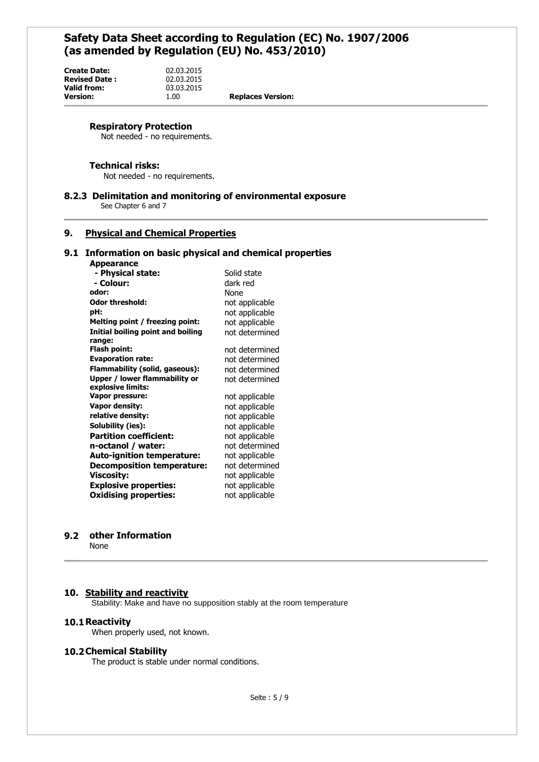**Version:** 1.00 **Replaces Version:**

#### **Respiratory Protection**

Not needed - no requirements.

**Create Date:** 02.03.2015 **Revised Date :** 02.03.2015 03.03.2015<br>1.00

#### **Technical risks:**

Not needed - no requirements.

## **8.2.3 Delimitation and monitoring of environmental exposure**

See Chapter 6 and 7

## **9. Physical and Chemical Properties**

#### **9.1 Information on basic physical and chemical properties**

#### **Appearance**

| appeurunee                        |                |
|-----------------------------------|----------------|
| - Physical state:                 | Solid state    |
| - Colour:                         | dark red       |
| odor:                             | None           |
| <b>Odor threshold:</b>            | not applicable |
| pH:                               | not applicable |
| Melting point / freezing point:   | not applicable |
| Initial boiling point and boiling | not determined |
| range:                            |                |
| Flash point:                      | not determined |
| <b>Evaporation rate:</b>          | not determined |
| Flammability (solid, gaseous):    | not determined |
| Upper / lower flammability or     | not determined |
| explosive limits:                 |                |
| <b>Vapor pressure:</b>            | not applicable |
| Vapor density:                    | not applicable |
| relative density:                 | not applicable |
| Solubility (ies):                 | not applicable |
| <b>Partition coefficient:</b>     | not applicable |
| n-octanol / water:                | not determined |
| Auto-ignition temperature:        | not applicable |
| <b>Decomposition temperature:</b> | not determined |
| <b>Viscosity:</b>                 | not applicable |
| <b>Explosive properties:</b>      | not applicable |
| <b>Oxidising properties:</b>      | not applicable |
|                                   |                |

#### **9.2 other Information**

None

#### **10. Stability and reactivity**

Stability: Make and have no supposition stably at the room temperature

#### **10.1Reactivity**

When properly used, not known.

#### **10.2Chemical Stability**

The product is stable under normal conditions.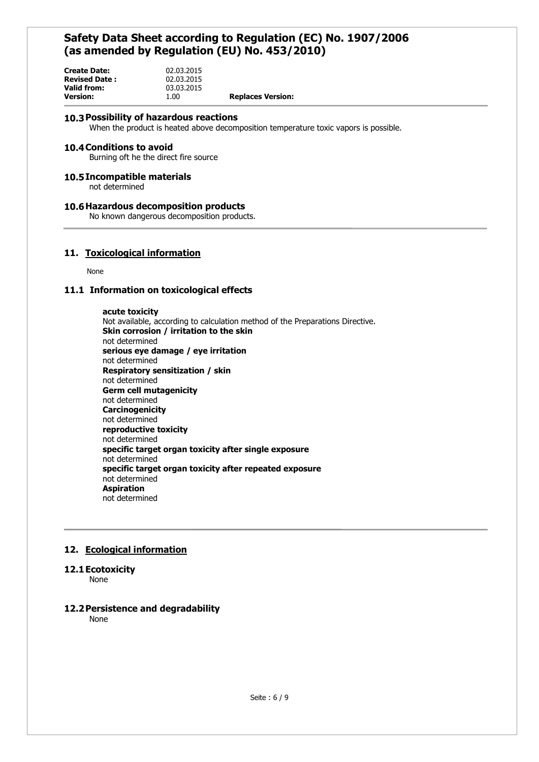| <b>Create Date:</b>  | 02.03.2015 |                          |
|----------------------|------------|--------------------------|
| <b>Revised Date:</b> | 02.03.2015 |                          |
| Valid from:          | 03.03.2015 |                          |
| <b>Version:</b>      | 1.00       | <b>Replaces Version:</b> |

#### **10.3Possibility of hazardous reactions**

When the product is heated above decomposition temperature toxic vapors is possible.

#### **10.4Conditions to avoid**

Burning oft he the direct fire source

#### **10.5Incompatible materials**

not determined

#### **10.6Hazardous decomposition products**

No known dangerous decomposition products.

## **11. Toxicological information**

None

#### **11.1 Information on toxicological effects**

**acute toxicity** Not available, according to calculation method of the Preparations Directive. **Skin corrosion / irritation to the skin** not determined **serious eye damage / eye irritation** not determined **Respiratory sensitization / skin** not determined **Germ cell mutagenicity** not determined **Carcinogenicity** not determined **reproductive toxicity** not determined **specific target organ toxicity after single exposure** not determined **specific target organ toxicity after repeated exposure** not determined **Aspiration** not determined

## **12. Ecological information**

#### **12.1Ecotoxicity**

None

## **12.2Persistence and degradability**

None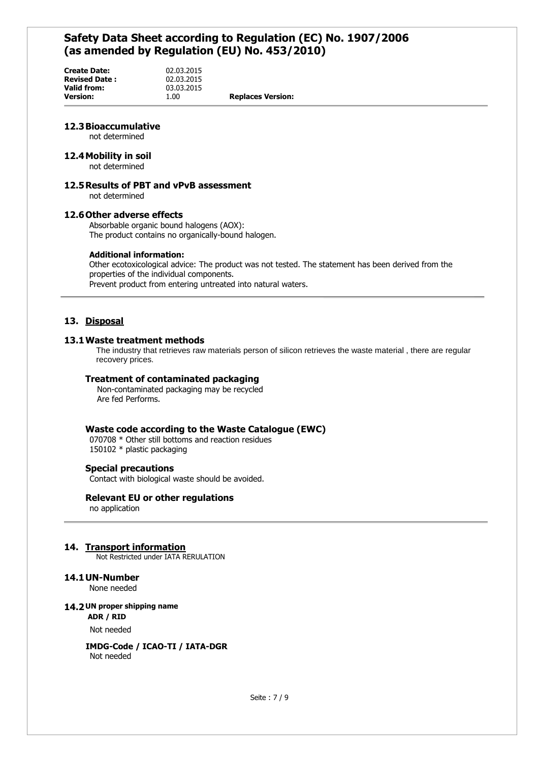**Create Date:** 02.03.2015 **Revised Date :** 02.03.2015 **Valid from:** 03.03.2015<br> **Version:** 1.00

**Version:** 1.00 **Replaces Version:**

## **12.3Bioaccumulative**

not determined

#### **12.4Mobility in soil**

not determined

## **12.5Results of PBT and vPvB assessment**

not determined

#### **12.6Other adverse effects**

Absorbable organic bound halogens (AOX): The product contains no organically-bound halogen.

#### **Additional information:**

Other ecotoxicological advice: The product was not tested. The statement has been derived from the properties of the individual components. Prevent product from entering untreated into natural waters.

## **13. Disposal**

#### **13.1Waste treatment methods**

The industry that retrieves raw materials person of silicon retrieves the waste material , there are regular recovery prices.

#### **Treatment of contaminated packaging**

 Non-contaminated packaging may be recycled Are fed Performs.

#### **Waste code according to the Waste Catalogue (EWC)**

070708 \* Other still bottoms and reaction residues 150102 \* plastic packaging

#### **Special precautions**

Contact with biological waste should be avoided.

#### **Relevant EU or other regulations**

no application

#### **14. Transport information**

Not Restricted under IATA RERULATION

#### **14.1UN-Number**

None needed

#### **14.2 UN proper shipping name**

**ADR / RID**

Not needed

**IMDG-Code / ICAO-TI / IATA-DGR** Not needed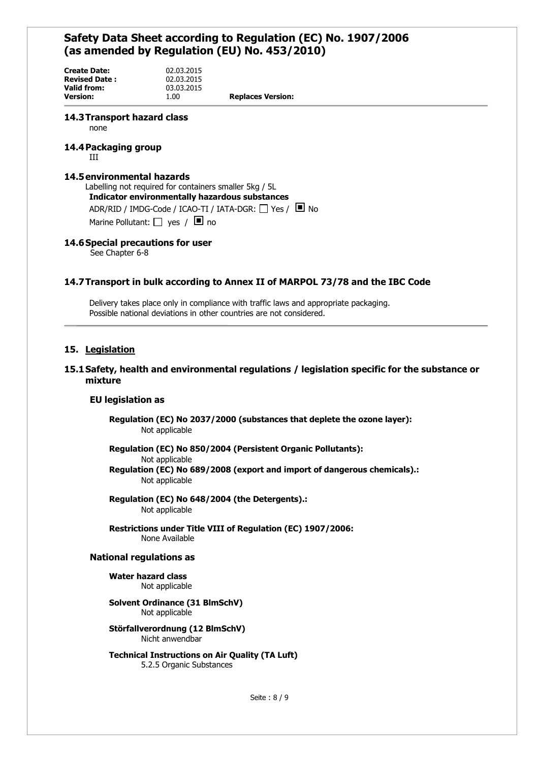**Create Date:** 02.03.2015 **Revised Date :** 02.03.2015 **Valid from:** 03.03.2015<br> **Version:** 1.00

**Version:** 1.00 **Replaces Version:**

#### **14.3Transport hazard class**

none

#### **14.4Packaging group**

III

#### **14.5environmental hazards**

Labelling not required for containers smaller 5kg / 5L **Indicator environmentally hazardous substances** ADR/RID / IMDG-Code / ICAO-TI / IATA-DGR:  $\Box$  Yes /  $\Box$  No Marine Pollutant:  $\Box$  yes /  $\Box$  no

## **14.6Special precautions for user**

See Chapter 6-8

#### **14.7Transport in bulk according to Annex II of MARPOL 73/78 and the IBC Code**

Delivery takes place only in compliance with traffic laws and appropriate packaging. Possible national deviations in other countries are not considered.

#### **15. Legislation**

#### **15.1Safety, health and environmental regulations / legislation specific for the substance or mixture**

#### **EU legislation as**

**Regulation (EC) No 2037/2000 (substances that deplete the ozone layer):** Not applicable

**Regulation (EC) No 850/2004 (Persistent Organic Pollutants):**

Not applicable

**Regulation (EC) No 689/2008 (export and import of dangerous chemicals).:** Not applicable

**Regulation (EC) No 648/2004 (the Detergents).:** Not applicable

**Restrictions under Title VIII of Regulation (EC) 1907/2006:** None Available

#### **National regulations as**

**Water hazard class** Not applicable

**Solvent Ordinance (31 BlmSchV)** Not applicable

**Störfallverordnung (12 BlmSchV)** Nicht anwendbar

**Technical Instructions on Air Quality (TA Luft)** 5.2.5 Organic Substances